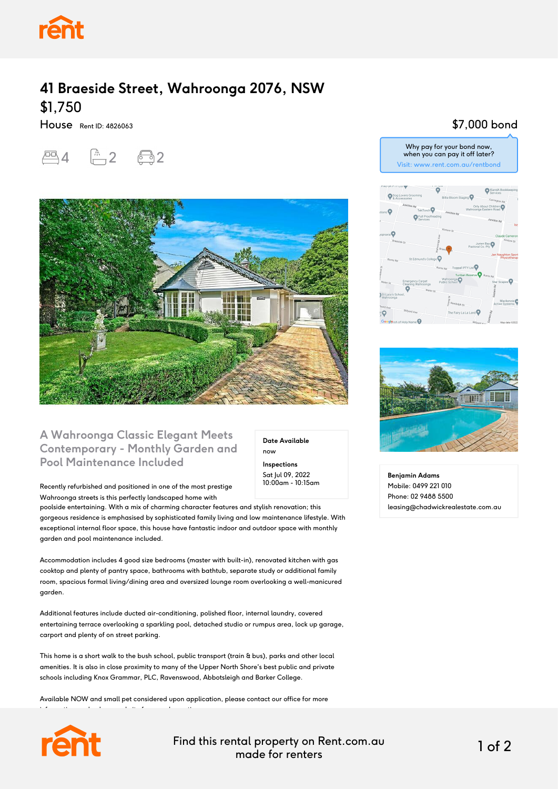

# **41 Braeside Street, Wahroonga 2076, NSW** \$1,750

House Rent ID: 4826063





#### **A Wahroonga Classic Elegant Meets Contemporary - Monthly Garden and Pool Maintenance Included**

Recently refurbished and positioned in one of the most prestige Wahroonga streets is this perfectly landscaped home with

information or check our website for open home times.

poolside entertaining. With a mix of charming character features and stylish renovation; this gorgeous residence is emphasised by sophisticated family living and low maintenance lifestyle. With exceptional internal floor space, this house have fantastic indoor and outdoor space with monthly garden and pool maintenance included.

Accommodation includes 4 good size bedrooms (master with built-in), renovated kitchen with gas cooktop and plenty of pantry space, bathrooms with bathtub, separate study or additional family room, spacious formal living/dining area and oversized lounge room overlooking a well-manicured garden.

Additional features include ducted air-conditioning, polished floor, internal laundry, covered entertaining terrace overlooking a sparkling pool, detached studio or rumpus area, lock up garage, carport and plenty of on street parking.

This home is a short walk to the bush school, public transport (train & bus), parks and other local amenities. It is also in close proximity to many of the Upper North Shore's best public and private schools including Knox Grammar, PLC, Ravenswood, Abbotsleigh and Barker College.

Available NOW and small pet considered upon application, please contact our office for more



Find this rental property on Rent.com.au made for renters 1 of 2

**Date Available**

now **Inspections** Sat Jul 09, 2022 10:00am - 10:15am

### \$7,000 bond





**Benjamin Adams** Mobile: 0499 221 010 Phone: 02 9488 5500 leasing@chadwickrealestate.com.au